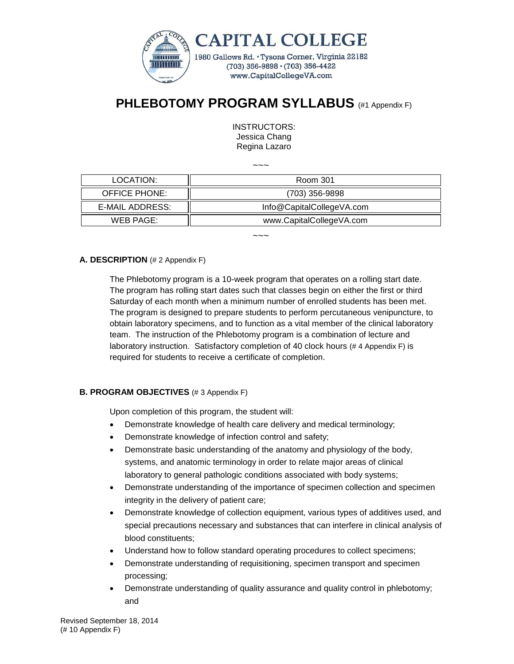

# **PHLEBOTOMY PROGRAM SYLLABUS** (#1 Appendix F)

INSTRUCTORS: Jessica Chang Regina Lazaro

 $\sim\sim\sim$ 

| LOCATION:       | Room 301                  |
|-----------------|---------------------------|
| OFFICE PHONE:   | (703) 356-9898            |
| E-MAIL ADDRESS: | Info@CapitalCollegeVA.com |
| WEB PAGE:       | www.CapitalCollegeVA.com  |

 $\sim\sim\sim$ 

## **A. DESCRIPTION** (# 2 Appendix F)

The Phlebotomy program is a 10-week program that operates on a rolling start date. The program has rolling start dates such that classes begin on either the first or third Saturday of each month when a minimum number of enrolled students has been met. The program is designed to prepare students to perform percutaneous venipuncture, to obtain laboratory specimens, and to function as a vital member of the clinical laboratory team. The instruction of the Phlebotomy program is a combination of lecture and laboratory instruction. Satisfactory completion of 40 clock hours (# 4 Appendix F) is required for students to receive a certificate of completion.

## **B. PROGRAM OBJECTIVES** (# 3 Appendix F)

Upon completion of this program, the student will:

- Demonstrate knowledge of health care delivery and medical terminology;
- Demonstrate knowledge of infection control and safety;
- Demonstrate basic understanding of the anatomy and physiology of the body, systems, and anatomic terminology in order to relate major areas of clinical laboratory to general pathologic conditions associated with body systems;
- Demonstrate understanding of the importance of specimen collection and specimen integrity in the delivery of patient care;
- Demonstrate knowledge of collection equipment, various types of additives used, and special precautions necessary and substances that can interfere in clinical analysis of blood constituents;
- Understand how to follow standard operating procedures to collect specimens;
- Demonstrate understanding of requisitioning, specimen transport and specimen processing;
- Demonstrate understanding of quality assurance and quality control in phlebotomy; and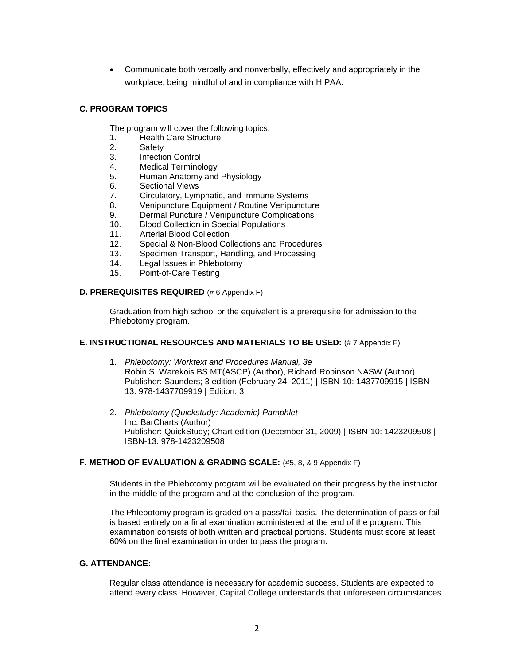Communicate both verbally and nonverbally, effectively and appropriately in the workplace, being mindful of and in compliance with HIPAA.

## **C. PROGRAM TOPICS**

The program will cover the following topics:

- 1. Health Care Structure
- 2. Safety
- 3. Infection Control
- 4. Medical Terminology
- 5. Human Anatomy and Physiology
- 6. Sectional Views
- 7. Circulatory, Lymphatic, and Immune Systems
- 8. Venipuncture Equipment / Routine Venipuncture
- 9. Dermal Puncture / Venipuncture Complications
- 10. Blood Collection in Special Populations
- 11. Arterial Blood Collection
- 12. Special & Non-Blood Collections and Procedures
- 13. Specimen Transport, Handling, and Processing
- 14. Legal Issues in Phlebotomy
- 15. Point-of-Care Testing

#### **D. PREREQUISITES REQUIRED** (# 6 Appendix F)

Graduation from high school or the equivalent is a prerequisite for admission to the Phlebotomy program.

#### **E. INSTRUCTIONAL RESOURCES AND MATERIALS TO BE USED:** (# 7 Appendix F)

- 1. *Phlebotomy: Worktext and Procedures Manual, 3e* [Robin S. Warekois BS MT\(ASCP\)](http://www.amazon.com/s/ref=ntt_athr_dp_sr_1?_encoding=UTF8&field-author=Robin%20S.%20Warekois%20BS%20%20MT(ASCP)&search-alias=books&sort=relevancerank) (Author), [Richard Robinson NASW](http://www.amazon.com/s/ref=ntt_athr_dp_sr_2?_encoding=UTF8&field-author=Richard%20Robinson%20NASW&search-alias=books&sort=relevancerank) (Author) Publisher: Saunders; 3 edition (February 24, 2011) | ISBN-10: 1437709915 | ISBN-13: 978-1437709919 | Edition: 3
- 2. *Phlebotomy (Quickstudy: Academic) Pamphlet* Inc. BarCharts (Author) Publisher: QuickStudy; Chart edition (December 31, 2009) | ISBN-10: 1423209508 | ISBN-13: 978-1423209508

#### **F. METHOD OF EVALUATION & GRADING SCALE:** (#5, 8, & 9 Appendix F)

Students in the Phlebotomy program will be evaluated on their progress by the instructor in the middle of the program and at the conclusion of the program.

The Phlebotomy program is graded on a pass/fail basis. The determination of pass or fail is based entirely on a final examination administered at the end of the program. This examination consists of both written and practical portions. Students must score at least 60% on the final examination in order to pass the program.

### **G. ATTENDANCE:**

Regular class attendance is necessary for academic success. Students are expected to attend every class. However, Capital College understands that unforeseen circumstances